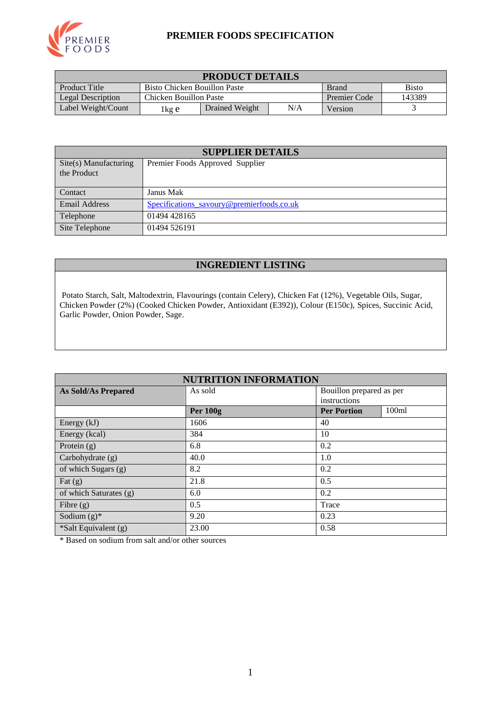

#### **PREMIER FOODS SPECIFICATION**

| <b>PRODUCT DETAILS</b>   |                                                              |                |                     |        |  |
|--------------------------|--------------------------------------------------------------|----------------|---------------------|--------|--|
| Product Title            | <b>Bisto</b><br>Bisto Chicken Bouillon Paste<br><b>Brand</b> |                |                     |        |  |
| <b>Legal Description</b> | Chicken Bouillon Paste                                       |                | <b>Premier Code</b> | 143389 |  |
| Label Weight/Count       | lkg e                                                        | Drained Weight | Version             |        |  |

| <b>SUPPLIER DETAILS</b>              |                                           |  |  |  |
|--------------------------------------|-------------------------------------------|--|--|--|
| Site(s) Manufacturing<br>the Product | Premier Foods Approved Supplier           |  |  |  |
| Contact                              | Janus Mak                                 |  |  |  |
| <b>Email Address</b>                 | Specifications_savoury@premierfoods.co.uk |  |  |  |
| Telephone                            | 01494 428165                              |  |  |  |
| Site Telephone                       | 01494 526191                              |  |  |  |

# **INGREDIENT LISTING**

Potato Starch, Salt, Maltodextrin, Flavourings (contain Celery), Chicken Fat (12%), Vegetable Oils, Sugar, Chicken Powder (2%) (Cooked Chicken Powder, Antioxidant (E392)), Colour (E150c), Spices, Succinic Acid, Garlic Powder, Onion Powder, Sage.

| <b>NUTRITION INFORMATION</b> |                 |                          |       |  |  |
|------------------------------|-----------------|--------------------------|-------|--|--|
| <b>As Sold/As Prepared</b>   | As sold         | Bouillon prepared as per |       |  |  |
|                              |                 | instructions             |       |  |  |
|                              | <b>Per 100g</b> | <b>Per Portion</b>       | 100ml |  |  |
| Energy (kJ)                  | 1606            | 40                       |       |  |  |
| Energy (kcal)                | 384             | 10                       |       |  |  |
| Protein $(g)$                | 6.8             | 0.2                      |       |  |  |
| Carbohydrate (g)             | 40.0            | 1.0                      |       |  |  |
| of which Sugars (g)          | 8.2             | 0.2                      |       |  |  |
| Fat $(g)$                    | 21.8            | 0.5                      |       |  |  |
| of which Saturates (g)       | 6.0             | 0.2                      |       |  |  |
| Fibre $(g)$                  | 0.5             | Trace                    |       |  |  |
| Sodium $(g)^*$               | 9.20            | 0.23                     |       |  |  |
| *Salt Equivalent (g)         | 23.00           | 0.58                     |       |  |  |

\* Based on sodium from salt and/or other sources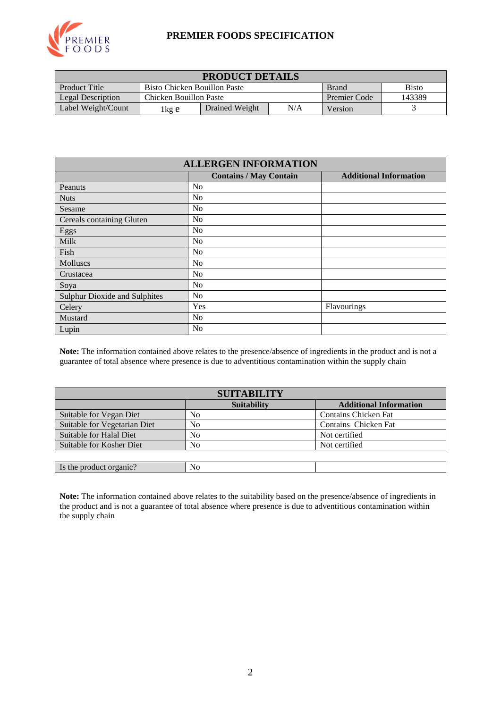

#### **PREMIER FOODS SPECIFICATION**

| <b>PRODUCT DETAILS</b>   |                                                                     |  |                     |        |  |  |
|--------------------------|---------------------------------------------------------------------|--|---------------------|--------|--|--|
| <b>Product Title</b>     | <b>Bisto</b><br><b>Bisto Chicken Bouillon Paste</b><br><b>Brand</b> |  |                     |        |  |  |
| <b>Legal Description</b> | Chicken Bouillon Paste                                              |  | <b>Premier Code</b> | 143389 |  |  |
| Label Weight/Count       | N/A<br>Drained Weight<br>Version<br>1 kg e                          |  |                     |        |  |  |

| <b>ALLERGEN INFORMATION</b>          |                               |                               |  |  |  |
|--------------------------------------|-------------------------------|-------------------------------|--|--|--|
|                                      | <b>Contains / May Contain</b> | <b>Additional Information</b> |  |  |  |
| Peanuts                              | No                            |                               |  |  |  |
| <b>Nuts</b>                          | N <sub>0</sub>                |                               |  |  |  |
| Sesame                               | N <sub>0</sub>                |                               |  |  |  |
| Cereals containing Gluten            | No                            |                               |  |  |  |
| Eggs                                 | No                            |                               |  |  |  |
| Milk                                 | No                            |                               |  |  |  |
| Fish                                 | No                            |                               |  |  |  |
| Molluscs                             | No                            |                               |  |  |  |
| Crustacea                            | No                            |                               |  |  |  |
| Soya                                 | N <sub>0</sub>                |                               |  |  |  |
| <b>Sulphur Dioxide and Sulphites</b> | No                            |                               |  |  |  |
| Celery                               | Yes                           | Flavourings                   |  |  |  |
| Mustard                              | N <sub>o</sub>                |                               |  |  |  |
| Lupin                                | N <sub>0</sub>                |                               |  |  |  |

**Note:** The information contained above relates to the presence/absence of ingredients in the product and is not a guarantee of total absence where presence is due to adventitious contamination within the supply chain

| <b>SUITABILITY</b>           |                    |                               |  |  |  |
|------------------------------|--------------------|-------------------------------|--|--|--|
|                              | <b>Suitability</b> | <b>Additional Information</b> |  |  |  |
| Suitable for Vegan Diet      | No                 | <b>Contains Chicken Fat</b>   |  |  |  |
| Suitable for Vegetarian Diet | N <sub>0</sub>     | Contains Chicken Fat          |  |  |  |
| Suitable for Halal Diet      | N <sub>0</sub>     | Not certified                 |  |  |  |
| Suitable for Kosher Diet     | No                 | Not certified                 |  |  |  |
|                              |                    |                               |  |  |  |
| Is the product organic?      | No                 |                               |  |  |  |

**Note:** The information contained above relates to the suitability based on the presence/absence of ingredients in the product and is not a guarantee of total absence where presence is due to adventitious contamination within the supply chain